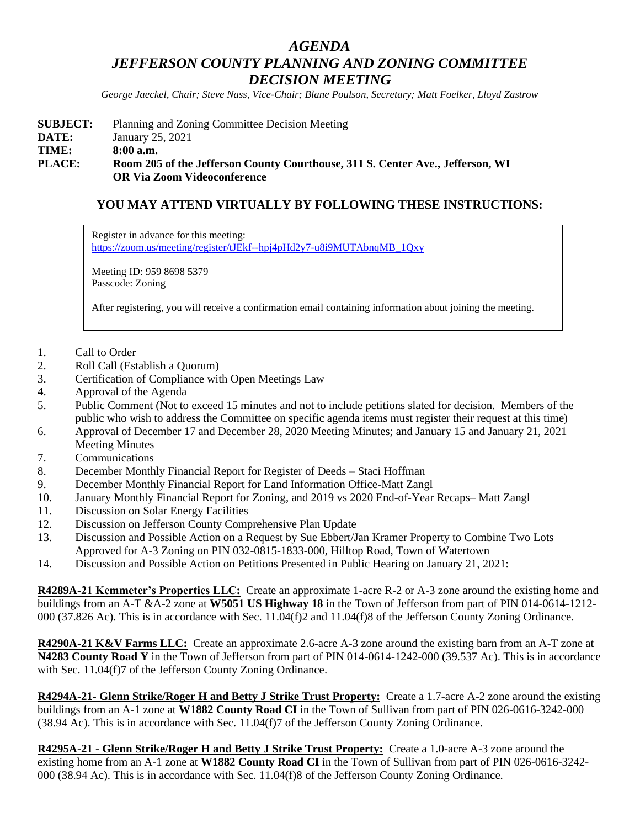## *AGENDA JEFFERSON COUNTY PLANNING AND ZONING COMMITTEE DECISION MEETING*

*George Jaeckel, Chair; Steve Nass, Vice-Chair; Blane Poulson, Secretary; Matt Foelker, Lloyd Zastrow*

| <b>SUBJECT:</b> | Planning and Zoning Committee Decision Meeting                                                                       |
|-----------------|----------------------------------------------------------------------------------------------------------------------|
| DATE:           | January 25, 2021                                                                                                     |
| TIME:           | 8:00a.m.                                                                                                             |
| <b>PLACE:</b>   | Room 205 of the Jefferson County Courthouse, 311 S. Center Ave., Jefferson, WI<br><b>OR Via Zoom Videoconference</b> |

## **YOU MAY ATTEND VIRTUALLY BY FOLLOWING THESE INSTRUCTIONS:**

Register in advance for this meeting: [https://zoom.us/meeting/register/tJEkf--hpj4pHd2y7-u8i9MUTAbnqMB\\_1Qxy](https://zoom.us/meeting/register/tJEkf--hpj4pHd2y7-u8i9MUTAbnqMB_1Qxy)

Meeting ID: 959 8698 5379 Passcode: Zoning

After registering, you will receive a confirmation email containing information about joining the meeting.

- 1. Call to Order
- 2. Roll Call (Establish a Quorum)
- 3. Certification of Compliance with Open Meetings Law
- 4. Approval of the Agenda
- 5. Public Comment (Not to exceed 15 minutes and not to include petitions slated for decision. Members of the public who wish to address the Committee on specific agenda items must register their request at this time)
- 6. Approval of December 17 and December 28, 2020 Meeting Minutes; and January 15 and January 21, 2021 Meeting Minutes
- 7. Communications
- 8. December Monthly Financial Report for Register of Deeds Staci Hoffman
- 9. December Monthly Financial Report for Land Information Office-Matt Zangl
- 10. January Monthly Financial Report for Zoning, and 2019 vs 2020 End-of-Year Recaps– Matt Zangl
- 11. Discussion on Solar Energy Facilities
- 12. Discussion on Jefferson County Comprehensive Plan Update
- 13. Discussion and Possible Action on a Request by Sue Ebbert/Jan Kramer Property to Combine Two Lots Approved for A-3 Zoning on PIN 032-0815-1833-000, Hilltop Road, Town of Watertown
- 14. Discussion and Possible Action on Petitions Presented in Public Hearing on January 21, 2021:

**R4289A-21 Kemmeter's Properties LLC:** Create an approximate 1-acre R-2 or A-3 zone around the existing home and buildings from an A-T &A-2 zone at **W5051 US Highway 18** in the Town of Jefferson from part of PIN 014-0614-1212- 000 (37.826 Ac). This is in accordance with Sec. 11.04(f)2 and 11.04(f)8 of the Jefferson County Zoning Ordinance.

**R4290A-21 K&V Farms LLC:** Create an approximate 2.6-acre A-3 zone around the existing barn from an A-T zone at **N4283 County Road Y** in the Town of Jefferson from part of PIN 014-0614-1242-000 (39.537 Ac). This is in accordance with Sec. 11.04(f)7 of the Jefferson County Zoning Ordinance.

**R4294A-21- Glenn Strike/Roger H and Betty J Strike Trust Property:** Create a 1.7-acre A-2 zone around the existing buildings from an A-1 zone at **W1882 County Road CI** in the Town of Sullivan from part of PIN 026-0616-3242-000 (38.94 Ac). This is in accordance with Sec. 11.04(f)7 of the Jefferson County Zoning Ordinance.

**R4295A-21 - Glenn Strike/Roger H and Betty J Strike Trust Property:** Create a 1.0-acre A-3 zone around the existing home from an A-1 zone at **W1882 County Road CI** in the Town of Sullivan from part of PIN 026-0616-3242- 000 (38.94 Ac). This is in accordance with Sec. 11.04(f)8 of the Jefferson County Zoning Ordinance.